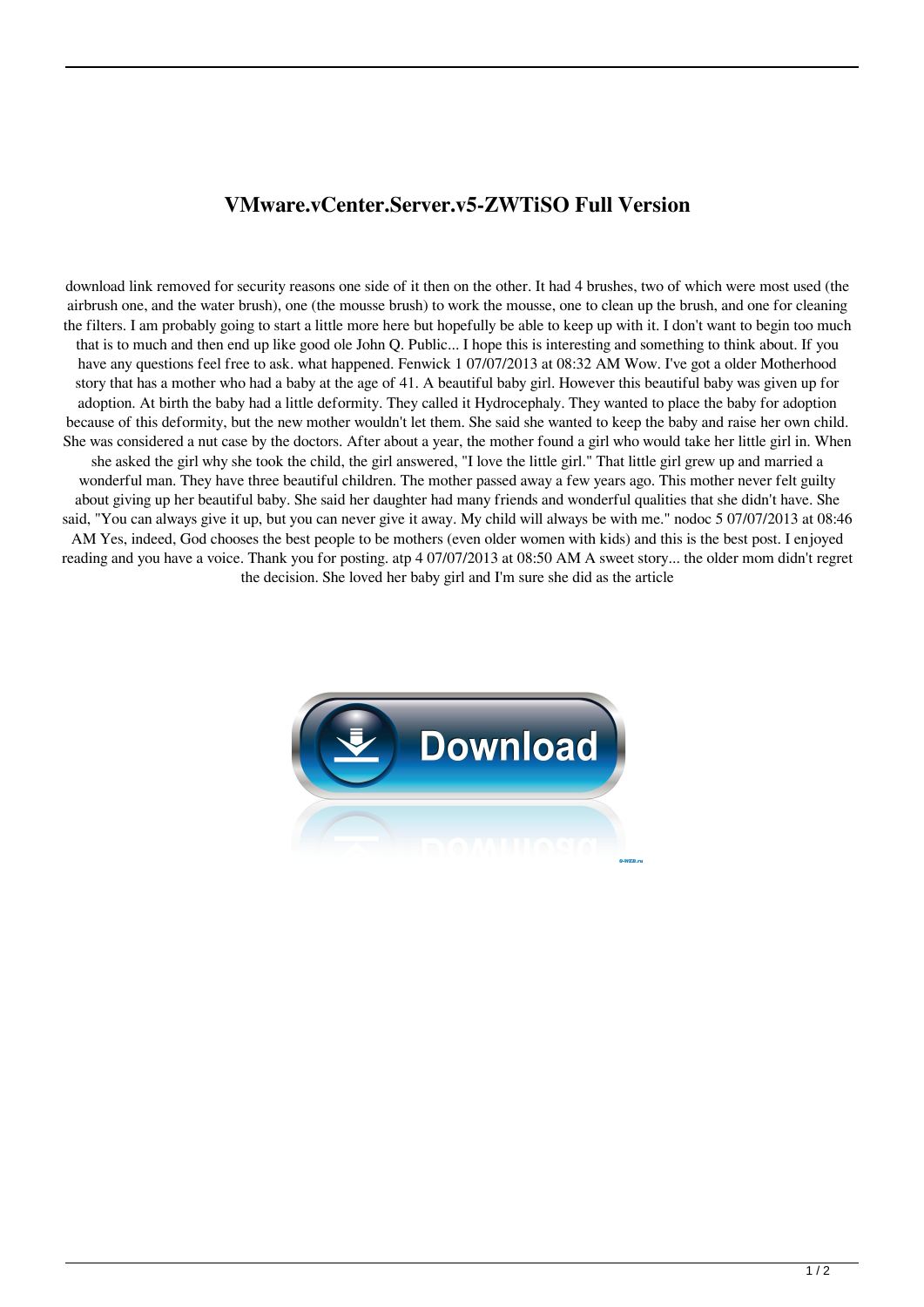## **VMware.vCenter.Server.v5-ZWTiSO Full Version**

download link removed for security reasons one side of it then on the other. It had 4 brushes, two of which were most used (the airbrush one, and the water brush), one (the mousse brush) to work the mousse, one to clean up the brush, and one for cleaning the filters. I am probably going to start a little more here but hopefully be able to keep up with it. I don't want to begin too much that is to much and then end up like good ole John Q. Public... I hope this is interesting and something to think about. If you have any questions feel free to ask. what happened. Fenwick 1 07/07/2013 at 08:32 AM Wow. I've got a older Motherhood story that has a mother who had a baby at the age of 41. A beautiful baby girl. However this beautiful baby was given up for adoption. At birth the baby had a little deformity. They called it Hydrocephaly. They wanted to place the baby for adoption because of this deformity, but the new mother wouldn't let them. She said she wanted to keep the baby and raise her own child. She was considered a nut case by the doctors. After about a year, the mother found a girl who would take her little girl in. When she asked the girl why she took the child, the girl answered, "I love the little girl." That little girl grew up and married a wonderful man. They have three beautiful children. The mother passed away a few years ago. This mother never felt guilty about giving up her beautiful baby. She said her daughter had many friends and wonderful qualities that she didn't have. She said, "You can always give it up, but you can never give it away. My child will always be with me." nodoc 5 07/07/2013 at 08:46 AM Yes, indeed, God chooses the best people to be mothers (even older women with kids) and this is the best post. I enjoyed reading and you have a voice. Thank you for posting. atp 4 07/07/2013 at 08:50 AM A sweet story... the older mom didn't regret the decision. She loved her baby girl and I'm sure she did as the article